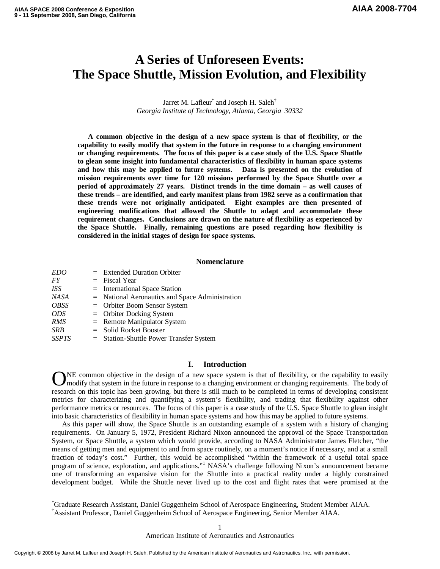-

# **A Series of Unforeseen Events: The Space Shuttle, Mission Evolution, and Flexibility**

Jarret M. Lafleur<sup>\*</sup> and Joseph H. Saleh<sup>†</sup> *Georgia Institute of Technology, Atlanta, Georgia 30332* 

**A common objective in the design of a new space system is that of flexibility, or the capability to easily modify that system in the future in response to a changing environment or changing requirements. The focus of this paper is a case study of the U.S. Space Shuttle to glean some insight into fundamental characteristics of flexibility in human space systems and how this may be applied to future systems. Data is presented on the evolution of mission requirements over time for 120 missions performed by the Space Shuttle over a period of approximately 27 years. Distinct trends in the time domain – as well causes of these trends – are identified, and early manifest plans from 1982 serve as a confirmation that these trends were not originally anticipated. Eight examples are then presented of engineering modifications that allowed the Shuttle to adapt and accommodate these requirement changes. Conclusions are drawn on the nature of flexibility as experienced by the Space Shuttle. Finally, remaining questions are posed regarding how flexibility is considered in the initial stages of design for space systems.** 

#### **Nomenclature**

| <i>EDO</i>         | $=$ Extended Duration Orbiter                     |
|--------------------|---------------------------------------------------|
| <i>FY</i>          | $=$ Fiscal Year                                   |
| ISS                | $=$ International Space Station                   |
| <b>NASA</b>        | $=$ National Aeronautics and Space Administration |
| <i><b>OBSS</b></i> | $=$ Orbiter Boom Sensor System                    |
| <i>ODS</i>         | $=$ Orbiter Docking System                        |
| RMS                | $=$ Remote Manipulator System                     |
| <b>SRB</b>         | $=$ Solid Rocket Booster                          |
| <b>SSPTS</b>       | $=$ Station-Shuttle Power Transfer System         |

#### **I. Introduction**

NE common objective in the design of a new space system is that of flexibility, or the capability to easily modify that system in the future in response to a changing environment or changing requirements. The body of **C**NE common objective in the design of a new space system is that of flexibility, or the capability to easily modify that system in the future in response to a changing environment or changing requirements. The body of re metrics for characterizing and quantifying a system's flexibility, and trading that flexibility against other performance metrics or resources. The focus of this paper is a case study of the U.S. Space Shuttle to glean insight into basic characteristics of flexibility in human space systems and how this may be applied to future systems.

As this paper will show, the Space Shuttle is an outstanding example of a system with a history of changing requirements. On January 5, 1972, President Richard Nixon announced the approval of the Space Transportation System, or Space Shuttle, a system which would provide, according to NASA Administrator James Fletcher, "the means of getting men and equipment to and from space routinely, on a moment's notice if necessary, and at a small fraction of today's cost." Further, this would be accomplished "within the framework of a useful total space program of science, exploration, and applications."<sup>1</sup> NASA's challenge following Nixon's announcement became one of transforming an expansive vision for the Shuttle into a practical reality under a highly constrained development budget. While the Shuttle never lived up to the cost and flight rates that were promised at the

American Institute of Aeronautics and Astronautics

<sup>\*</sup>Graduate Research Assistant, Daniel Guggenheim School of Aerospace Engineering, Student Member AIAA.

<sup>†</sup>Assistant Professor, Daniel Guggenheim School of Aerospace Engineering, Senior Member AIAA.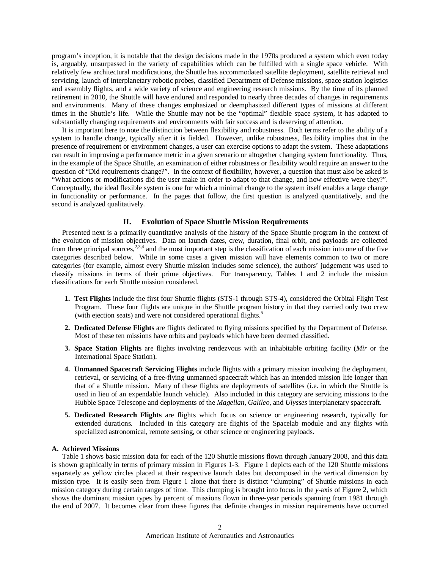program's inception, it is notable that the design decisions made in the 1970s produced a system which even today is, arguably, unsurpassed in the variety of capabilities which can be fulfilled with a single space vehicle. With relatively few architectural modifications, the Shuttle has accommodated satellite deployment, satellite retrieval and servicing, launch of interplanetary robotic probes, classified Department of Defense missions, space station logistics and assembly flights, and a wide variety of science and engineering research missions. By the time of its planned retirement in 2010, the Shuttle will have endured and responded to nearly three decades of changes in requirements and environments. Many of these changes emphasized or deemphasized different types of missions at different times in the Shuttle's life. While the Shuttle may not be the "optimal" flexible space system, it has adapted to substantially changing requirements and environments with fair success and is deserving of attention.

It is important here to note the distinction between flexibility and robustness. Both terms refer to the ability of a system to handle change, typically after it is fielded. However, unlike robustness, flexibility implies that in the presence of requirement or environment changes, a user can exercise options to adapt the system. These adaptations can result in improving a performance metric in a given scenario or altogether changing system functionality. Thus, in the example of the Space Shuttle, an examination of either robustness or flexibility would require an answer to the question of "Did requirements change?". In the context of flexibility, however, a question that must also be asked is "What actions or modifications did the user make in order to adapt to that change, and how effective were they?". Conceptually, the ideal flexible system is one for which a minimal change to the system itself enables a large change in functionality or performance. In the pages that follow, the first question is analyzed quantitatively, and the second is analyzed qualitatively.

# **II. Evolution of Space Shuttle Mission Requirements**

Presented next is a primarily quantitative analysis of the history of the Space Shuttle program in the context of the evolution of mission objectives. Data on launch dates, crew, duration, final orbit, and payloads are collected from three principal sources,  $2,3,4$  and the most important step is the classification of each mission into one of the five categories described below. While in some cases a given mission will have elements common to two or more categories (for example, almost every Shuttle mission includes some science), the authors' judgement was used to classify missions in terms of their prime objectives. For transparency, Tables 1 and 2 include the mission classifications for each Shuttle mission considered.

- **1. Test Flights** include the first four Shuttle flights (STS-1 through STS-4), considered the Orbital Flight Test Program. These four flights are unique in the Shuttle program history in that they carried only two crew (with ejection seats) and were not considered operational flights.<sup>5</sup>
- **2. Dedicated Defense Flights** are flights dedicated to flying missions specified by the Department of Defense. Most of these ten missions have orbits and payloads which have been deemed classified.
- **3. Space Station Flights** are flights involving rendezvous with an inhabitable orbiting facility (*Mir* or the International Space Station).
- **4. Unmanned Spacecraft Servicing Flights** include flights with a primary mission involving the deployment, retrieval, or servicing of a free-flying unmanned spacecraft which has an intended mission life longer than that of a Shuttle mission. Many of these flights are deployments of satellites (i.e. in which the Shuttle is used in lieu of an expendable launch vehicle). Also included in this category are servicing missions to the Hubble Space Telescope and deployments of the *Magellan*, *Galileo*, and *Ulysses* interplanetary spacecraft.
- **5. Dedicated Research Flights** are flights which focus on science or engineering research, typically for extended durations. Included in this category are flights of the Spacelab module and any flights with specialized astronomical, remote sensing, or other science or engineering payloads.

#### **A. Achieved Missions**

Table 1 shows basic mission data for each of the 120 Shuttle missions flown through January 2008, and this data is shown graphically in terms of primary mission in Figures 1-3. Figure 1 depicts each of the 120 Shuttle missions separately as yellow circles placed at their respective launch dates but decomposed in the vertical dimension by mission type. It is easily seen from Figure 1 alone that there is distinct "clumping" of Shuttle missions in each mission category during certain ranges of time. This clumping is brought into focus in the *y*-axis of Figure 2, which shows the dominant mission types by percent of missions flown in three-year periods spanning from 1981 through the end of 2007. It becomes clear from these figures that definite changes in mission requirements have occurred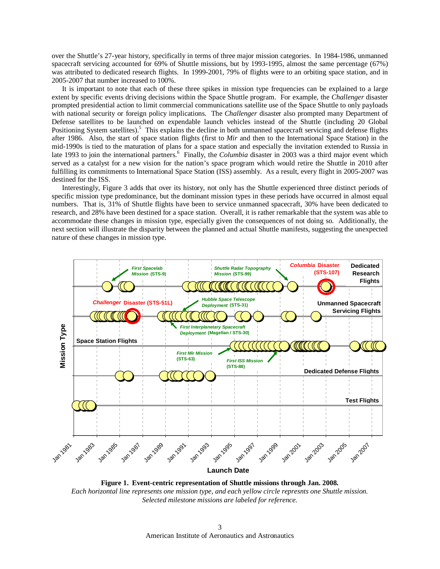over the Shuttle's 27-year history, specifically in terms of three major mission categories. In 1984-1986, unmanned spacecraft servicing accounted for 69% of Shuttle missions, but by 1993-1995, almost the same percentage (67%) was attributed to dedicated research flights. In 1999-2001, 79% of flights were to an orbiting space station, and in 2005-2007 that number increased to 100%.

It is important to note that each of these three spikes in mission type frequencies can be explained to a large extent by specific events driving decisions within the Space Shuttle program. For example, the *Challenger* disaster prompted presidential action to limit commercial communications satellite use of the Space Shuttle to only payloads with national security or foreign policy implications. The *Challenger* disaster also prompted many Department of Defense satellites to be launched on expendable launch vehicles instead of the Shuttle (including 20 Global Positioning System satellites).<sup>5</sup> This explains the decline in both unmanned spacecraft servicing and defense flights after 1986. Also, the start of space station flights (first to *Mir* and then to the International Space Station) in the mid-1990s is tied to the maturation of plans for a space station and especially the invitation extended to Russia in late 1993 to join the international partners.<sup>6</sup> Finally, the *Columbia* disaster in 2003 was a third major event which served as a catalyst for a new vision for the nation's space program which would retire the Shuttle in 2010 after fulfilling its commitments to International Space Station (ISS) assembly. As a result, every flight in 2005-2007 was destined for the ISS.

Interestingly, Figure 3 adds that over its history, not only has the Shuttle experienced three distinct periods of specific mission type predominance, but the dominant mission types in these periods have occurred in almost equal numbers. That is, 31% of Shuttle flights have been to service unmanned spacecraft, 30% have been dedicated to research, and 28% have been destined for a space station. Overall, it is rather remarkable that the system was able to accommodate these changes in mission type, especially given the consequences of not doing so. Additionally, the next section will illustrate the disparity between the planned and actual Shuttle manifests, suggesting the unexpected nature of these changes in mission type.



**Figure 1. Event-centric representation of Shuttle missions through Jan. 2008.**  *Each horizontal line represents one mission type, and each yellow circle represnts one Shuttle mission. Selected milestone missions are labeled for reference.*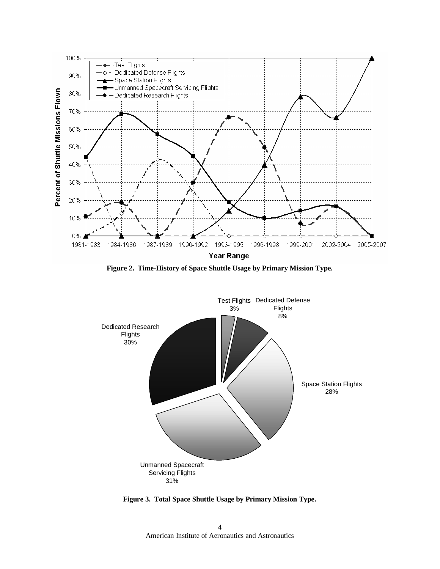

**Figure 2. Time-History of Space Shuttle Usage by Primary Mission Type.** 



**Figure 3. Total Space Shuttle Usage by Primary Mission Type.**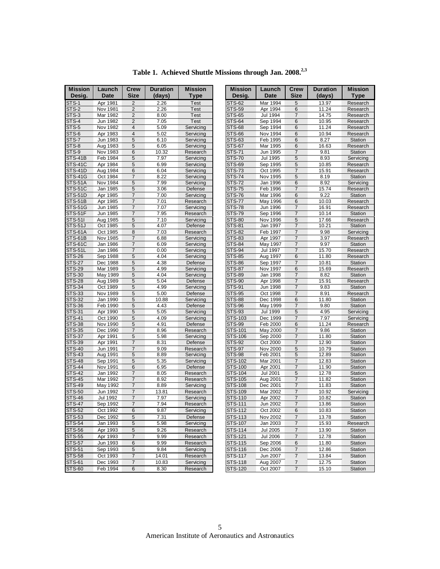| <b>Mission</b> | Launch          | Crew                             | <b>Duration</b> | <b>Mission</b> | Mission                        | Launch          | Crew                | <b>Duration</b> | <b>Mission</b>        |
|----------------|-----------------|----------------------------------|-----------------|----------------|--------------------------------|-----------------|---------------------|-----------------|-----------------------|
| Desig.         | <b>Date</b>     | <b>Size</b>                      | (days)          | Type           | Desig.                         | Date            | <b>Size</b>         | (days)          | <b>Type</b>           |
| STS-1          | Apr 1981        | $\overline{2}$                   | 2.26            | <b>Test</b>    | <b>STS-62</b>                  | Mar 1994        | 5                   | 13.97           | Research              |
| STS-2          | Nov 1981        | $\overline{2}$                   | 2.26            | <b>Test</b>    | <b>STS-59</b>                  | Apr 1994        | 6                   | 11.24           | Research              |
| STS-3          | Mar 1982        | $\overline{2}$                   | 8.00            | <b>Test</b>    | <b>STS-65</b>                  | <b>Jul 1994</b> | $\overline{7}$      | 14.75           | Research              |
| STS-4          | Jun 1982        | $\overline{2}$                   | 7.05            | <b>Test</b>    | <b>STS-64</b>                  | Sep 1994        | 6                   | 10.95           | Research              |
| STS-5          | Nov 1982        | $\overline{4}$                   | 5.09            | Servicing      | <b>STS-68</b>                  | Sep 1994        | 6                   | 11.24           | Research              |
| STS-6          | Apr 1983        | $\overline{4}$                   | 5.02            | Servicing      | <b>STS-66</b>                  | Nov 1994        | 6                   | 10.94           | Research              |
| STS-7          | Jun 1983        | 5                                | 6.10            | Servicing      | <b>STS-63</b>                  | Feb 1995        | 6                   | 8.27            | Station               |
| STS-8          | Aug 1983        | 5                                | 6.05            | Servicing      | <b>STS-67</b>                  | Mar 1995        | 6                   | 16.63           | Research              |
| STS-9          | Nov 1983        | 6                                | 10.32           | Research       | <b>STS-71</b>                  | Jun 1995        | $\overline{7}$      | 9.81            | Station               |
| <b>STS-41B</b> | Feb 1984        | 5                                | 7.97            | Servicing      | <b>STS-70</b>                  | <b>Jul 1995</b> | $\sqrt{5}$          | 8.93            | Servicing             |
| <b>STS-41C</b> | Apr 1984        | $\sqrt{5}$                       | 6.99            | Servicing      | <b>STS-69</b>                  | Sep 1995        | $\sqrt{5}$          | 10.85           | Research              |
| <b>STS-41D</b> | Aug 1984        | 6                                | 6.04            | Servicing      | <b>STS-73</b>                  | Oct 1995        | $\overline{7}$      | 15.91           | Research              |
| STS-41G        | Oct 1984        | $\overline{7}$                   | 8.22            | Servicing      | <b>STS-74</b>                  | Nov 1995        | 5                   | 8.19            | Station               |
| STS-51A        | Nov 1984        | 5                                | 7.99            | Servicing      | <b>STS-72</b>                  | Jan 1996        | 6                   | 8.92            | Servicino             |
| STS-51C        | Jan 1985        | 5                                | 3.06            | Defense        | <b>STS-75</b>                  | Feb 1996        | $\overline{7}$      | 15.74           | Research              |
| STS-51D        | Apr 1985        | $\overline{7}$                   | 7.00            | Servicing      | <b>STS-76</b>                  | Mar 1996        | 6                   | 9.22            | Station               |
| <b>STS-51B</b> | Apr 1985        | $\overline{7}$                   | 7.01            | Research       | <b>STS-77</b>                  | May 1996        | 6                   | 10.03           | Research              |
| STS-51G        | Jun 1985        | $\overline{7}$                   | 7.07            | Servicing      | <b>STS-78</b>                  | Jun 1996        | $\overline{7}$      | 16.91           | Research              |
| <b>STS-51F</b> | <b>Jun 1985</b> | $\overline{7}$                   | 7.95            | Research       | <b>STS-79</b>                  | Sep 1996        | $\overline{7}$      | 10.14           | Station               |
| <b>STS-511</b> |                 | 5                                | 7.10            |                | <b>STS-80</b>                  |                 | 5                   | 17.66           | Research              |
|                | Aug 1985        |                                  |                 | Servicing      |                                | Nov 1996        |                     |                 |                       |
| $STS-51J$      | Oct 1985        | 5                                | 4.07            | Defense        | <b>STS-81</b>                  | Jan 1997        | 7                   | 10.21           | Station               |
| STS-61A        | Oct 1985        | 8                                | 7.03            | Research       | <b>STS-82</b>                  | Feb 1997        | $\overline{7}$      | 9.98            | Servicing<br>Research |
| STS-61B        | Nov 1985        | $\overline{7}$<br>$\overline{7}$ | 6.88            | Servicing      | <b>STS-83</b><br><b>STS-84</b> | Apr 1997        | 7<br>$\overline{7}$ | 3.97            |                       |
| STS-61C        | Jan 1986        |                                  | 6.09            | Servicing      |                                | May 1997        |                     | 9.97            | Station               |
| <b>STS-51L</b> | Jan 1986        | $\overline{7}$                   | 0.00            | Servicing      | <b>STS-94</b>                  | Jul 1997        | $\overline{7}$      | 15.70           | Research              |
| <b>STS-26</b>  | Sep 1988        | $\overline{5}$                   | 4.04            | Servicing      | <b>STS-85</b>                  | Aug 1997        | 6                   | 11.80           | Research              |
| <b>STS-27</b>  | Dec 1988        | 5                                | 4.38            | Defense        | <b>STS-86</b>                  | Sep 1997        | $\overline{7}$      | 10.81           | Station               |
| <b>STS-29</b>  | Mar 1989        | 5                                | 4.99            | Servicing      | <b>STS-87</b>                  | <b>Nov 1997</b> | 6                   | 15.69           | Research              |
| <b>STS-30</b>  | May 1989        | 5                                | 4.04            | Servicing      | <b>STS-89</b>                  | Jan 1998        | $\overline{7}$      | 8.82            | <b>Station</b>        |
| <b>STS-28</b>  | Aug 1989        | 5                                | 5.04            | Defense        | <b>STS-90</b>                  | Apr 1998        | 7                   | 15.91           | Research              |
| <b>STS-34</b>  | Oct 1989        | 5                                | 4.99            | Servicing      | <b>STS-91</b>                  | Jun 1998        | $\overline{7}$      | 9.83            | Station               |
| <b>STS-33</b>  | Nov 1989        | 5                                | 5.00            | Defense        | <b>STS-95</b>                  | Oct 1998        | $\overline{7}$      | 8.91            | Research              |
| <b>STS-32</b>  | Jan 1990        | 5                                | 10.88           | Servicing      | <b>STS-88</b>                  | Dec 1998        | 6                   | 11.80           | Station               |
| <b>STS-36</b>  | Feb 1990        | 5                                | 4.43            | Defense        | <b>STS-96</b>                  | May 1999        | $\overline{7}$      | 9.80            | Station               |
| <b>STS-31</b>  | Apr 1990        | 5                                | 5.05            | Servicing      | <b>STS-93</b>                  | <b>Jul 1999</b> | $\sqrt{5}$          | 4.95            | Servicing             |
| <b>STS-41</b>  | Oct 1990        | 5                                | 4.09            | Servicing      | STS-103                        | Dec 1999        | $\overline{7}$      | 7.97            | Servicing             |
| <b>STS-38</b>  | Nov 1990        | 5                                | 4.91            | Defense        | <b>STS-99</b>                  | Feb 2000        | 6                   | 11.24           | Research              |
| <b>STS-35</b>  | Dec 1990        | $\overline{7}$                   | 8.96            | Research       | STS-101                        | May 2000        | $\overline{7}$      | 9.86            | Station               |
| <b>STS-37</b>  | Apr 1991        | 5                                | 5.98            | Servicing      | <b>STS-106</b>                 | Sep 2000        | $\overline{7}$      | 11.80           | Station               |
| <b>STS-39</b>  | Apr 1991        | $\overline{7}$                   | 8.31            | Defense        | <b>STS-92</b>                  | Oct 2000        | $\overline{7}$      | 12.90           | Station               |
| <b>STS-40</b>  | Jun 1991        | $\overline{7}$                   | 9.09            | Research       | <b>STS-97</b>                  | Nov 2000        | 5                   | 10.79           | Station               |
| <b>STS-43</b>  | Aug 1991        | 5                                | 8.89            | Servicing      | <b>STS-98</b>                  | Feb 2001        | $\sqrt{5}$          | 12.89           | Station               |
| <b>STS-48</b>  | Sep 1991        | 5                                | 5.35            | Servicing      | <b>STS-102</b>                 | Mar 2001        | $\overline{7}$      | 12.83           | Station               |
| <b>STS-44</b>  | Nov 1991        | 6                                | 6.95            | Defense        | <b>STS-100</b>                 | Apr 2001        | $\overline{7}$      | 11.90           | Station               |
| <b>STS-42</b>  | Jan 1992        | $\overline{7}$                   | 8.05            | Research       | <b>STS-104</b>                 | Jul 2001        | 5                   | 12.78           | Station               |
| <b>STS-45</b>  | Mar 1992        | $\overline{7}$                   | 8.92            | Research       | <b>STS-105</b>                 | Aug 2001        | $\overline{7}$      | 11.82           | Station               |
| <b>STS-49</b>  | May 1992        | $\overline{7}$                   | 8.89            | Servicing      | <b>STS-108</b>                 | Dec 2001        | 7                   | 11.83           | Station               |
| <b>STS-50</b>  | Jun 1992        | $\overline{7}$                   | 13.81           | Research       | <b>STS-109</b>                 | Mar 2002        | $\overline{7}$      | 10.92           | Servicing             |
| <b>STS-46</b>  | Jul 1992        | $\overline{7}$                   | 7.97            | Servicing      | STS-110                        | Apr 2002        | 7                   | 10.82           | Station               |
| <b>STS-47</b>  | Sep 1992        | $\overline{7}$                   | 7.94            | Research       | <b>STS-111</b>                 | Jun 2002        | $\overline{7}$      | 13.86           | Station               |
| \$15-52        | OCI 1992        | b                                | 9.87            | Servicing      | STS-112                        | <b>OCT 2002</b> | 6                   | 10.83           | Station               |
| <b>STS-53</b>  | Dec 1992        | 5                                | 7.31            | Defense        | <b>STS-113</b>                 | Nov 2002        | $\overline{7}$      | 13.78           | Station               |
| <b>STS-54</b>  | Jan 1993        | 5                                | 5.98            | Servicing      | STS-107                        | Jan 2003        | 7                   | 15.93           | Research              |
| <b>STS-56</b>  | Apr 1993        | $\sqrt{5}$                       | 9.26            | Research       | STS-114                        | <b>Jul 2005</b> | $\overline{7}$      | 13.90           | Station               |
| <b>STS-55</b>  | Apr 1993        | 7                                | 9.99            | Research       | STS-121                        | <b>Jul 2006</b> | 7                   | 12.78           | Station               |
|                |                 |                                  |                 |                |                                | Sep 2006        |                     |                 |                       |
| <b>STS-57</b>  | Jun 1993        | 6                                | 9.99            | Research       | STS-115                        |                 | 6                   | 11.80           | Station               |
| <b>STS-51</b>  | Sep 1993        | 5                                | 9.84            | Servicing      | <b>STS-116</b>                 | Dec 2006        | $\overline{7}$      | 12.86           | Station               |
| <b>STS-58</b>  | Oct 1993        | $\overline{7}$                   | 14.01           | Research       | <b>STS-117</b>                 | Jun 2007        | $\overline{7}$      | 13.84           | Station               |
| <b>STS-61</b>  | Dec 1993        | 7                                | 10.83           | Servicing      | STS-118                        | Aug 2007        | $\overline{7}$      | 12.75           | Station               |
| <b>STS-60</b>  | Feb 1994        | 6                                | 8.30            | Research       | <b>STS-120</b>                 | Oct 2007        | $\overline{7}$      | 15.10           | Station               |

**Table 1. Achieved Shuttle Missions through Jan. 2008.2,3**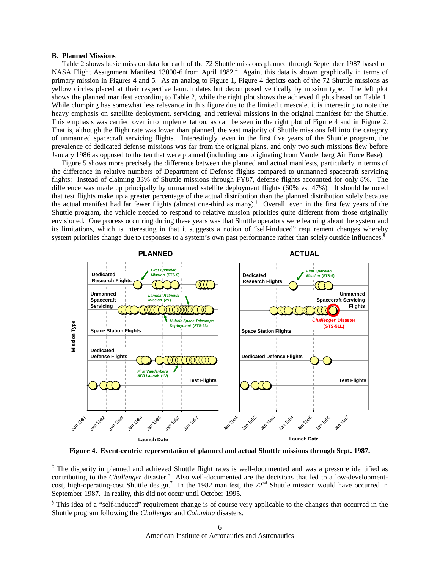# **B. Planned Missions**

-

Table 2 shows basic mission data for each of the 72 Shuttle missions planned through September 1987 based on NASA Flight Assignment Manifest 13000-6 from April 1982.<sup>4</sup> Again, this data is shown graphically in terms of primary mission in Figures 4 and 5. As an analog to Figure 1, Figure 4 depicts each of the 72 Shuttle missions as yellow circles placed at their respective launch dates but decomposed vertically by mission type. The left plot shows the planned manifest according to Table 2, while the right plot shows the achieved flights based on Table 1. While clumping has somewhat less relevance in this figure due to the limited timescale, it is interesting to note the heavy emphasis on satellite deployment, servicing, and retrieval missions in the original manifest for the Shuttle. This emphasis was carried over into implementation, as can be seen in the right plot of Figure 4 and in Figure 2. That is, although the flight rate was lower than planned, the vast majority of Shuttle missions fell into the category of unmanned spacecraft servicing flights. Interestingly, even in the first five years of the Shuttle program, the prevalence of dedicated defense missions was far from the original plans, and only two such missions flew before January 1986 as opposed to the ten that were planned (including one originating from Vandenberg Air Force Base).

Figure 5 shows more precisely the difference between the planned and actual manifests, particularly in terms of the difference in relative numbers of Department of Defense flights compared to unmanned spacecraft servicing flights: Instead of claiming 33% of Shuttle missions through FY87, defense flights accounted for only 8%. The difference was made up principally by unmanned satellite deployment flights (60% vs. 47%). It should be noted that test flights make up a greater percentage of the actual distribution than the planned distribution solely because the actual manifest had far fewer flights (almost one-third as many).‡ Overall, even in the first few years of the Shuttle program, the vehicle needed to respond to relative mission priorities quite different from those originally envisioned. One process occurring during these years was that Shuttle operators were learning about the system and its limitations, which is interesting in that it suggests a notion of "self-induced" requirement changes whereby system priorities change due to responses to a system's own past performance rather than solely outside influences.<sup>§</sup>



**Figure 4. Event-centric representation of planned and actual Shuttle missions through Sept. 1987.** 

<sup>‡</sup> The disparity in planned and achieved Shuttle flight rates is well-documented and was a pressure identified as contributing to the *Challenger* disaster.<sup>5</sup> Also well-documented are the decisions that led to a low-developmentcost, high-operating-cost Shuttle design.<sup>7</sup> In the 1982 manifest, the  $72<sup>nd</sup>$  Shuttle mission would have occurred in September 1987. In reality, this did not occur until October 1995.

<sup>§</sup> This idea of a "self-induced" requirement change is of course very applicable to the changes that occurred in the Shuttle program following the *Challenger* and *Columbia* disasters.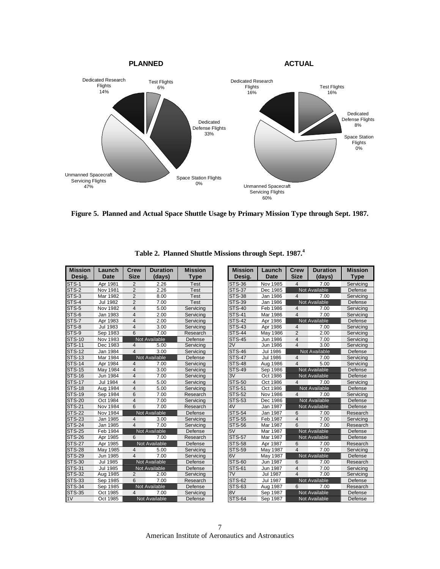

**Figure 5. Planned and Actual Space Shuttle Usage by Primary Mission Type through Sept. 1987.** 

| <b>Mission</b><br>Desig. | Launch<br><b>Date</b> | Crew<br><b>Size</b> | <b>Duration</b><br>(days) | <b>Mission</b><br><b>Type</b> | <b>Mission</b><br>Desig. | Launch<br><b>Date</b> | <b>Crew</b><br><b>Size</b> | <b>Duration</b><br>(days) | <b>Mission</b><br><b>Type</b> |
|--------------------------|-----------------------|---------------------|---------------------------|-------------------------------|--------------------------|-----------------------|----------------------------|---------------------------|-------------------------------|
| STS-1                    | Apr 1981              | 2                   | 2.26                      | Test                          | <b>STS-36</b>            | Nov 1985              | $\overline{4}$             | 7.00                      | Servicing                     |
| STS-2                    | <b>Nov 1981</b>       | $\overline{2}$      | 2.26                      | Test                          | <b>STS-37</b>            | Dec 1985              |                            | Not Available             | Defense                       |
| STS-3                    | Mar 1982              | $\overline{2}$      | 8.00                      | Test                          | <b>STS-38</b>            | Jan 1986              | $\overline{4}$             | 7.00                      | Servicing                     |
| STS-4                    | <b>Jul 1982</b>       | $\overline{2}$      | 7.00                      | Test                          | <b>STS-39</b>            | Jan 1986              |                            | Not Available             | Defense                       |
| STS-5                    | Nov 1982              | $\overline{4}$      | 5.00                      | Servicing                     | <b>STS-40</b>            | Feb 1986              | $\overline{4}$             | 7.00                      | Servicing                     |
| STS-6                    | Jan 1983              | $\overline{4}$      | 2.00                      | Servicing                     | <b>STS-41</b>            | Mar 1986              | $\overline{\mathbf{4}}$    | 7.00                      | Servicing                     |
| STS-7                    | Apr 1983              | $\overline{4}$      | 2.00                      | Servicing                     | <b>STS-42</b>            | Apr 1986              |                            | <b>Not Available</b>      | Defense                       |
| STS-8                    | <b>Jul 1983</b>       | $\overline{4}$      | 3.00                      | Servicing                     | <b>STS-43</b>            | Apr 1986              | $\overline{4}$             | 7.00                      | Servicing                     |
| STS-9                    | Sep 1983              | 6                   | 7.00                      | Research                      | <b>STS-44</b>            | May 1986              | $\overline{2}$             | 2.00                      | Servicing                     |
| STS-10                   | Nov 1983              |                     | Not Available             | Defense                       | <b>STS-45</b>            | Jun 1986              | $\overline{4}$             | 7.00                      | Servicing                     |
| <b>STS-11</b>            | Dec 1983              | 4                   | 5.00                      | Servicina                     | 2V                       | <b>Jun 1986</b>       | $\overline{4}$             | 3.00                      | Servicing                     |
| <b>STS-12</b>            | Jan 1984              | $\overline{4}$      | 3.00                      | Servicing                     | <b>STS-46</b>            | <b>Jul 1986</b>       |                            | Not Available             | Defense                       |
| <b>STS-13</b>            | Mar 1984              |                     | Not Available             | Defense                       | <b>STS-47</b>            | <b>Jul 1986</b>       | $\overline{4}$             | 7.00                      | Servicing                     |
| <b>STS-14</b>            | Apr 1984              | $\overline{4}$      | 7.00                      | Servicing                     | <b>STS-48</b>            | Aug 1986              | $\overline{4}$             | 5.00                      | Servicing                     |
| <b>STS-15</b>            | May 1984              | $\overline{4}$      | 3.00                      | Servicing                     | <b>STS-49</b>            | Sep 1986              |                            | Not Available             | Defense                       |
| <b>STS-16</b>            | Jun 1984              | $\overline{4}$      | 7.00                      | Servicing                     | 3V                       | Oct 1986              |                            | Not Available             | Defense                       |
| <b>STS-17</b>            | <b>Jul 1984</b>       | $\overline{4}$      | 5.00                      | Servicing                     | <b>STS-50</b>            | Oct 1986              | $\overline{4}$             | 7.00                      | Servicing                     |
| <b>STS-18</b>            | Aug 1984              | $\overline{4}$      | 5.00                      | Servicing                     | <b>STS-51</b>            | Oct 1986              |                            | Not Available             | Defense                       |
| <b>STS-19</b>            | Sep 1984              | 6                   | 7.00                      | Research                      | <b>STS-52</b>            | <b>Nov 1986</b>       | $\overline{4}$             | 7.00                      | Servicing                     |
| <b>STS-20</b>            | Oct 1984              | $\overline{4}$      | 7.00                      | Servicina                     | <b>STS-53</b>            | Dec 1986              |                            | Not Available             | Defense                       |
| <b>STS-21</b>            | Nov 1984              | 6                   | 7.00                      | Research                      | 4V                       | Jan 1987              |                            | Not Available             | Defense                       |
| <b>STS-22</b>            | Nov 1984              |                     | Not Available             | Defense                       | <b>STS-54</b>            | Jan 1987              | 6                          | 7.00                      | Research                      |
| <b>STS-23</b>            | Jan 1985              | 4                   | 3.00                      | Servicing                     | <b>STS-55</b>            | Feb 1987              | $\overline{4}$             | 7.00                      | Servicing                     |
| <b>STS-24</b>            | Jan 1985              | $\overline{4}$      | 7.00                      | Servicing                     | <b>STS-56</b>            | Mar 1987              | 6                          | 7.00                      | Research                      |
| <b>STS-25</b>            | Feb 1984              |                     | Not Available             | Defense                       | 5V                       | Mar 1987              |                            | Not Available             | Defense                       |
| <b>STS-26</b>            | Apr 1985              | 6                   | 7.00                      | Research                      | <b>STS-57</b>            | Mar 1987              |                            | Not Available             | Defense                       |
| <b>STS-27</b>            | Apr 1985              |                     | Not Available             | Defense                       | <b>STS-58</b>            | Apr 1987              | 6                          | 7.00                      | Research                      |
| <b>STS-28</b>            | May 1985              | $\overline{4}$      | 5.00                      | Servicing                     | <b>STS-59</b>            | May 1987              | $\overline{4}$             | 7.00                      | Servicing                     |
| <b>STS-29</b>            | Jun 1985              | $\overline{4}$      | 7.00                      | Servicing                     | 6V                       | May 1987              |                            | Not Available             | Defense                       |
| <b>STS-30</b>            | <b>Jul 1985</b>       |                     | Not Available             | Defense                       | <b>STS-60</b>            | Jun 1987              | 6                          | 7.00                      | Research                      |
| <b>STS-31</b>            | Jul 1985              |                     | Not Available             | Defense                       | <b>STS-61</b>            | Jun 1987              | $\overline{4}$             | 7.00                      | Servicing                     |
| <b>STS-32</b>            | Aug 1985              | 2                   | 2.00                      | Servicing                     | 7V                       | Jul 1987              | $\overline{4}$             | 7.00                      | Servicing                     |
| <b>STS-33</b>            | Sep 1985              | 6                   | 7.00                      | Research                      | <b>STS-62</b>            | <b>Jul 1987</b>       |                            | Not Available             | Defense                       |
| <b>STS-34</b>            | Sep 1985              |                     | Not Available             | Defense                       | <b>STS-63</b>            | Aug 1987              | 6                          | 7.00                      | Research                      |
| <b>STS-35</b>            | Oct 1985              | $\overline{4}$      | 7.00                      | Servicing                     | 8V                       | Sep 1987              |                            | Not Available             | Defense                       |
| 1 <sub>V</sub>           | Oct 1985              |                     | Not Available             | Defense                       | <b>STS-64</b>            | Sep 1987              |                            | Not Available             | Defense                       |

**Table 2. Planned Shuttle Missions through Sept. 1987.<sup>4</sup>**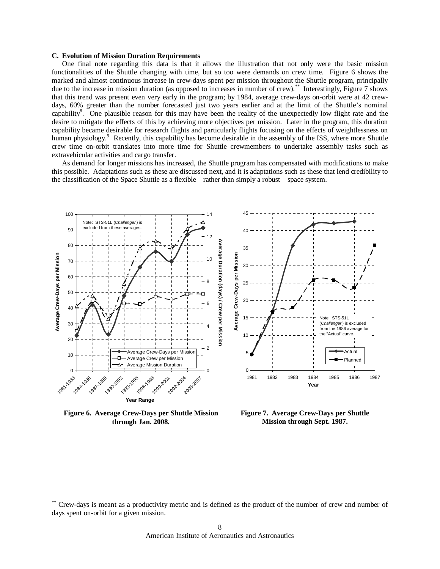#### **C. Evolution of Mission Duration Requirements**

One final note regarding this data is that it allows the illustration that not only were the basic mission functionalities of the Shuttle changing with time, but so too were demands on crew time. Figure 6 shows the marked and almost continuous increase in crew-days spent per mission throughout the Shuttle program, principally due to the increase in mission duration (as opposed to increases in number of crew).\*\* Interestingly, Figure 7 shows that this trend was present even very early in the program; by 1984, average crew-days on-orbit were at 42 crewdays, 60% greater than the number forecasted just two years earlier and at the limit of the Shuttle's nominal capability<sup>8</sup>. One plausible reason for this may have been the reality of the unexpectedly low flight rate and the desire to mitigate the effects of this by achieving more objectives per mission. Later in the program, this duration capability became desirable for research flights and particularly flights focusing on the effects of weightlessness on human physiology.<sup>9</sup> Recently, this capability has become desirable in the assembly of the ISS, where more Shuttle crew time on-orbit translates into more time for Shuttle crewmembers to undertake assembly tasks such as extravehicular activities and cargo transfer.

As demand for longer missions has increased, the Shuttle program has compensated with modifications to make this possible. Adaptations such as these are discussed next, and it is adaptations such as these that lend credibility to the classification of the Space Shuttle as a flexible – rather than simply a robust – space system.



**Figure 6. Average Crew-Days per Shuttle Mission through Jan. 2008.** 

-

**Figure 7. Average Crew-Days per Shuttle Mission through Sept. 1987.** 

<sup>\*\*</sup> Crew-days is meant as a productivity metric and is defined as the product of the number of crew and number of days spent on-orbit for a given mission.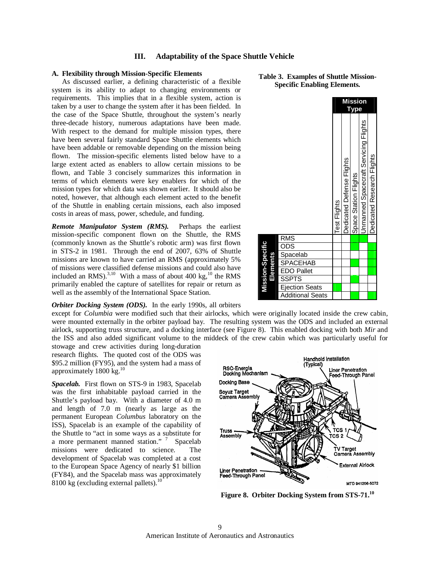# **III. Adaptability of the Space Shuttle Vehicle**

#### **A. Flexibility through Mission-Specific Elements**

As discussed earlier, a defining characteristic of a flexible system is its ability to adapt to changing environments or requirements. This implies that in a flexible system, action is taken by a user to change the system after it has been fielded. In the case of the Space Shuttle, throughout the system's nearly three-decade history, numerous adaptations have been made. With respect to the demand for multiple mission types, there have been several fairly standard Space Shuttle elements which have been addable or removable depending on the mission being flown. The mission-specific elements listed below have to a large extent acted as enablers to allow certain missions to be flown, and Table 3 concisely summarizes this information in terms of which elements were key enablers for which of the mission types for which data was shown earlier. It should also be noted, however, that although each element acted to the benefit of the Shuttle in enabling certain missions, each also imposed costs in areas of mass, power, schedule, and funding.

*Remote Manipulator System (RMS).* Perhaps the earliest mission-specific component flown on the Shuttle, the RMS (commonly known as the Shuttle's robotic arm) was first flown in STS-2 in 1981. Through the end of 2007, 63% of Shuttle missions are known to have carried an RMS (approximately 5% of missions were classified defense missions and could also have included an RMS).<sup>3,10</sup> With a mass of about 400 kg,<sup>10</sup> the RMS primarily enabled the capture of satellites for repair or return as well as the assembly of the International Space Station.

# *Orbiter Docking System (ODS).* In the early 1990s, all orbiters

except for *Columbia* were modified such that their airlocks, which were originally located inside the crew cabin, were mounted externally in the orbiter payload bay. The resulting system was the ODS and included an external airlock, supporting truss structure, and a docking interface (see Figure 8). This enabled docking with both *Mir* and the ISS and also added significant volume to the middeck of the crew cabin which was particularly useful for

stowage and crew activities during long-duration research flights. The quoted cost of the ODS was \$95.2 million (FY95), and the system had a mass of approximately 1800 kg.<sup>10</sup>

*Spacelab.* First flown on STS-9 in 1983, Spacelab was the first inhabitable payload carried in the Shuttle's payload bay. With a diameter of 4.0 m and length of 7.0 m (nearly as large as the permanent European *Columbus* laboratory on the ISS), Spacelab is an example of the capability of the Shuttle to "act in some ways as a substitute for a more permanent manned station." Spacelab missions were dedicated to science. The development of Spacelab was completed at a cost to the European Space Agency of nearly \$1 billion (FY84), and the Spacelab mass was approximately 8100 kg (excluding external pallets).<sup>10</sup>







**Figure 8. Orbiter Docking System from STS-71.<sup>10</sup>**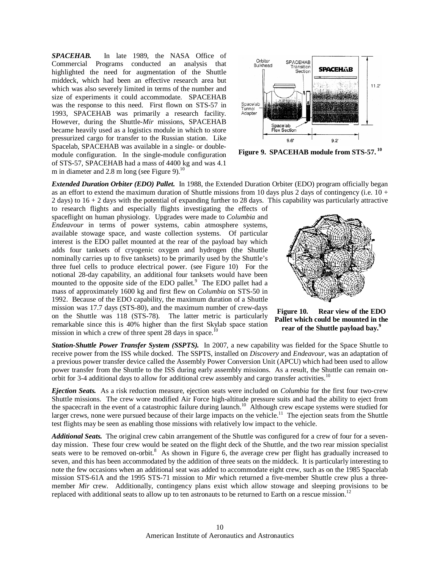SPACEHAB. In late 1989, the NASA Office of Commercial Programs conducted an analysis that highlighted the need for augmentation of the Shuttle middeck, which had been an effective research area but which was also severely limited in terms of the number and size of experiments it could accommodate. SPACEHAB was the response to this need. First flown on STS-57 in 1993, SPACEHAB was primarily a research facility. However, during the Shuttle-*Mir* missions, SPACEHAB became heavily used as a logistics module in which to store pressurized cargo for transfer to the Russian station. Like Spacelab, SPACEHAB was available in a single- or doublemodule configuration. In the single-module configuration of STS-57, SPACEHAB had a mass of 4400 kg and was 4.1 m in diameter and 2.8 m long (see Figure 9).<sup>10</sup>



**Figure 9. SPACEHAB module from STS-57.<sup>10</sup>**

*Extended Duration Orbiter (EDO) Pallet.* In 1988, the Extended Duration Orbiter (EDO) program officially began as an effort to extend the maximum duration of Shuttle missions from 10 days plus 2 days of contingency (i.e.  $10 +$ 2 days) to  $16 + 2$  days with the potential of expanding further to 28 days. This capability was particularly attractive

to research flights and especially flights investigating the effects of spaceflight on human physiology. Upgrades were made to *Columbia* and *Endeavour* in terms of power systems, cabin atmosphere systems, available stowage space, and waste collection systems. Of particular interest is the EDO pallet mounted at the rear of the payload bay which adds four tanksets of cryogenic oxygen and hydrogen (the Shuttle nominally carries up to five tanksets) to be primarily used by the Shuttle's three fuel cells to produce electrical power. (see Figure 10) For the notional 28-day capability, an additional four tanksets would have been mounted to the opposite side of the EDO pallet.<sup>9</sup> The EDO pallet had a mass of approximately 1600 kg and first flew on *Columbia* on STS-50 in 1992. Because of the EDO capability, the maximum duration of a Shuttle mission was 17.7 days (STS-80), and the maximum number of crew-days on the Shuttle was 118 (STS-78). The latter metric is particularly remarkable since this is 40% higher than the first Skylab space station mission in which a crew of three spent 28 days in space.<sup>10</sup>



**Figure 10. Rear view of the EDO Pallet which could be mounted in the rear of the Shuttle payload bay.<sup>9</sup>**

*Station-Shuttle Power Transfer System (SSPTS).* In 2007, a new capability was fielded for the Space Shuttle to receive power from the ISS while docked. The SSPTS, installed on *Discovery* and *Endeavour*, was an adaptation of a previous power transfer device called the Assembly Power Conversion Unit (APCU) which had been used to allow power transfer from the Shuttle to the ISS during early assembly missions. As a result, the Shuttle can remain onorbit for 3-4 additional days to allow for additional crew assembly and cargo transfer activities.<sup>10</sup>

*Ejection Seats.* As a risk reduction measure, ejection seats were included on *Columbia* for the first four two-crew Shuttle missions. The crew wore modified Air Force high-altitude pressure suits and had the ability to eject from the spacecraft in the event of a catastrophic failure during launch.<sup>10</sup> Although crew escape systems were studied for larger crews, none were pursued because of their large impacts on the vehicle.<sup>11</sup> The ejection seats from the Shuttle test flights may be seen as enabling those missions with relatively low impact to the vehicle.

*Additional Seats.* The original crew cabin arrangement of the Shuttle was configured for a crew of four for a sevenday mission. These four crew would be seated on the flight deck of the Shuttle, and the two rear mission specialist seats were to be removed on-orbit.<sup>8</sup> As shown in Figure 6, the average crew per flight has gradually increased to seven, and this has been accommodated by the addition of three seats on the middeck. It is particularly interesting to note the few occasions when an additional seat was added to accommodate eight crew, such as on the 1985 Spacelab mission STS-61A and the 1995 STS-71 mission to *Mir* which returned a five-member Shuttle crew plus a threemember *Mir* crew. Additionally, contingency plans exist which allow stowage and sleeping provisions to be replaced with additional seats to allow up to ten astronauts to be returned to Earth on a rescue mission.<sup>12</sup>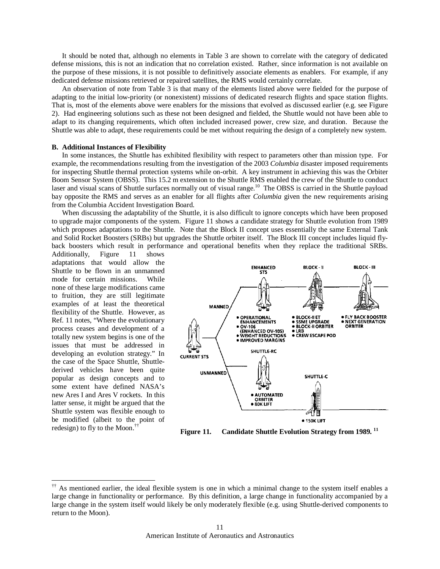It should be noted that, although no elements in Table 3 are shown to correlate with the category of dedicated defense missions, this is not an indication that no correlation existed. Rather, since information is not available on the purpose of these missions, it is not possible to definitively associate elements as enablers. For example, if any dedicated defense missions retrieved or repaired satellites, the RMS would certainly correlate.

An observation of note from Table 3 is that many of the elements listed above were fielded for the purpose of adapting to the initial low-priority (or nonexistent) missions of dedicated research flights and space station flights. That is, most of the elements above were enablers for the missions that evolved as discussed earlier (e.g. see Figure 2). Had engineering solutions such as these not been designed and fielded, the Shuttle would not have been able to adapt to its changing requirements, which often included increased power, crew size, and duration. Because the Shuttle was able to adapt, these requirements could be met without requiring the design of a completely new system.

#### **B. Additional Instances of Flexibility**

In some instances, the Shuttle has exhibited flexibility with respect to parameters other than mission type. For example, the recommendations resulting from the investigation of the 2003 *Columbia* disaster imposed requirements for inspecting Shuttle thermal protection systems while on-orbit. A key instrument in achieving this was the Orbiter Boom Sensor System (OBSS). This 15.2 m extension to the Shuttle RMS enabled the crew of the Shuttle to conduct laser and visual scans of Shuttle surfaces normally out of visual range.<sup>10</sup> The OBSS is carried in the Shuttle payload bay opposite the RMS and serves as an enabler for all flights after *Columbia* given the new requirements arising from the Columbia Accident Investigation Board.

When discussing the adaptability of the Shuttle, it is also difficult to ignore concepts which have been proposed to upgrade major components of the system. Figure 11 shows a candidate strategy for Shuttle evolution from 1989 which proposes adaptations to the Shuttle. Note that the Block II concept uses essentially the same External Tank and Solid Rocket Boosters (SRBs) but upgrades the Shuttle orbiter itself. The Block III concept includes liquid flyback boosters which result in performance and operational benefits when they replace the traditional SRBs.

Additionally, Figure 11 shows adaptations that would allow the Shuttle to be flown in an unmanned mode for certain missions. While none of these large modifications came to fruition, they are still legitimate examples of at least the theoretical flexibility of the Shuttle. However, as Ref. 11 notes, "Where the evolutionary process ceases and development of a totally new system begins is one of the issues that must be addressed in developing an evolution strategy." In the case of the Space Shuttle, Shuttlederived vehicles have been quite popular as design concepts and to some extent have defined NASA's new Ares I and Ares V rockets. In this latter sense, it might be argued that the Shuttle system was flexible enough to be modified (albeit to the point of redesign) to fly to the Moon.<sup>†</sup>

-



**Figure 11. Candidate Shuttle Evolution Strategy from 1989. <sup>11</sup>**

 $\ddot{\phantom{a}}$  As mentioned earlier, the ideal flexible system is one in which a minimal change to the system itself enables a large change in functionality or performance. By this definition, a large change in functionality accompanied by a large change in the system itself would likely be only moderately flexible (e.g. using Shuttle-derived components to return to the Moon).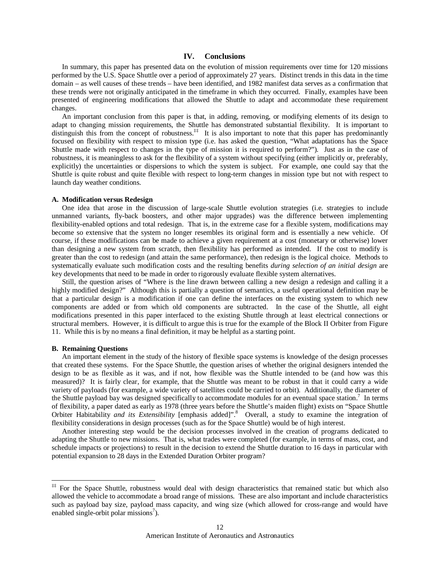### **IV. Conclusions**

In summary, this paper has presented data on the evolution of mission requirements over time for 120 missions performed by the U.S. Space Shuttle over a period of approximately 27 years. Distinct trends in this data in the time domain – as well causes of these trends – have been identified, and 1982 manifest data serves as a confirmation that these trends were not originally anticipated in the timeframe in which they occurred. Finally, examples have been presented of engineering modifications that allowed the Shuttle to adapt and accommodate these requirement changes.

An important conclusion from this paper is that, in adding, removing, or modifying elements of its design to adapt to changing mission requirements, the Shuttle has demonstrated substantial flexibility. It is important to distinguish this from the concept of robustness.<sup>‡‡</sup> It is also important to note that this paper has predominantly focused on flexibility with respect to mission type (i.e. has asked the question, "What adaptations has the Space Shuttle made with respect to changes in the type of mission it is required to perform?"). Just as in the case of robustness, it is meaningless to ask for the flexibility of a system without specifying (either implicitly or, preferably, explicitly) the uncertainties or dispersions to which the system is subject. For example, one could say that the Shuttle is quite robust and quite flexible with respect to long-term changes in mission type but not with respect to launch day weather conditions.

#### **A. Modification versus Redesign**

One idea that arose in the discussion of large-scale Shuttle evolution strategies (i.e. strategies to include unmanned variants, fly-back boosters, and other major upgrades) was the difference between implementing flexibility-enabled options and total redesign. That is, in the extreme case for a flexible system, modifications may become so extensive that the system no longer resembles its original form and is essentially a new vehicle. Of course, if these modifications can be made to achieve a given requirement at a cost (monetary or otherwise) lower than designing a new system from scratch, then flexibility has performed as intended. If the cost to modify is greater than the cost to redesign (and attain the same performance), then redesign is the logical choice. Methods to systematically evaluate such modification costs and the resulting benefits *during selection of an initial design* are key developments that need to be made in order to rigorously evaluate flexible system alternatives.

Still, the question arises of "Where is the line drawn between calling a new design a redesign and calling it a highly modified design?" Although this is partially a question of semantics, a useful operational definition may be that a particular design is a modification if one can define the interfaces on the existing system to which new components are added or from which old components are subtracted. In the case of the Shuttle, all eight modifications presented in this paper interfaced to the existing Shuttle through at least electrical connections or structural members. However, it is difficult to argue this is true for the example of the Block II Orbiter from Figure 11. While this is by no means a final definition, it may be helpful as a starting point.

#### **B. Remaining Questions**

-

An important element in the study of the history of flexible space systems is knowledge of the design processes that created these systems. For the Space Shuttle, the question arises of whether the original designers intended the design to be as flexible as it was, and if not, how flexible was the Shuttle intended to be (and how was this measured)? It is fairly clear, for example, that the Shuttle was meant to be robust in that it could carry a wide variety of payloads (for example, a wide variety of satellites could be carried to orbit). Additionally, the diameter of the Shuttle payload bay was designed specifically to accommodate modules for an eventual space station.<sup>7</sup> In terms of flexibility, a paper dated as early as 1978 (three years before the Shuttle's maiden flight) exists on "Space Shuttle Orbiter Habitability and its Extensibility [emphasis added]".<sup>8</sup> Overall, a study to examine the integration of flexibility considerations in design processes (such as for the Space Shuttle) would be of high interest.

Another interesting step would be the decision processes involved in the creation of programs dedicated to adapting the Shuttle to new missions. That is, what trades were completed (for example, in terms of mass, cost, and schedule impacts or projections) to result in the decision to extend the Shuttle duration to 16 days in particular with potential expansion to 28 days in the Extended Duration Orbiter program?

<sup>&</sup>lt;sup>##</sup> For the Space Shuttle, robustness would deal with design characteristics that remained static but which also allowed the vehicle to accommodate a broad range of missions. These are also important and include characteristics such as payload bay size, payload mass capacity, and wing size (which allowed for cross-range and would have enabled single-orbit polar missions<sup>7</sup>).